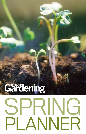# Gardening

# [SPRING](www.organicgardening.com) PLANNER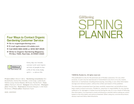## Four Ways to Contact Organic Gardening Customer Service

- » Go to [organicgardening.com](www.organicgardening.com)
- » E-mail [ogdcustserv@rodale.com](mailto:ogdcustserv@rodale.com)
- » Call (800) 666-2206 or (610) 967-8525
- » Write to Organic Gardening Magazine, PO Box 7320, Red Oak, IA 51591-0320



Every day our brands connect with and inspire millions of people to live a life of the mind, body, spirit  $-$  a whole life.

Project editor: Diane K. Gilroy • Gardening consultants: Don Boekelheide, Andrea Ray Chandler, Linda Crago, Leslie Doyle, Debbie Leung, Andres Mejides, Bill Nunes, Pamela Ruch • Copy editor: Patricia A. Sinnott • Designer: Erica Sheckler • Photographer: Christa Neu • Illustrators: Gretchen Bergner, 4, 35; Robin Brickman, 2 Photo editor: Stephanie Taylor

00Z5 / 201079101

## Gärdening SPRING PI ANNFR

#### ©2009 By Rodale Inc. All rights reserved.

This publication is only for the personal use of Rodale customers. For any other purpose, no part may be reproduced or transmitted in any form or by any means, electronic or mechanical, including photocopying, recording, or any other information storage and retrieval system, without the written permission of the publisher.

The information presented here has been carefully researched, and all efforts have been made to ensure accuracy. Rodale Inc. assumes no responsibility for any injuries suffered or for damages or losses incurred during the use of or as a result of following this information. It is important to study all directions carefully before taking any action based on the information and advice presented. When using any commercial product, always read and follow label directions.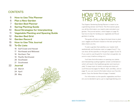## <span id="page-2-0"></span>**CONTENTS**

- 5 How to Use This Planner
- 6 [Plan a New Garden](#page-3-0)
- 7 [Garden Bed Planner](#page-3-0)
- 8 [Spring Planting Guide](#page-4-0)
- 10 [Good Strategies for Interplanting](#page-5-0)
- 11 [Vegetable Planting and Spacing Guide](#page-5-0)

 $\sum_{i=1}^{n}$ 

- 12 [Garden Bed Grid](#page-6-0)
- 14 [Garden Record](#page-7-0)
- 15 [How to Use This Journal](#page-7-0)

## 16 [To-Do Lists](#page-8-0)

- 16 [Gulf Coast and Hawaii](#page-8-0)
- 17 [Northeast and Midwest](#page-8-0)
- 18 [Northern Tier](#page-9-0)
- 19 [Pacific Northwest](#page-9-0)
- 20 [Southeast](#page-10-0)
- 21 [Southwest](#page-10-0)

## 22 [Journal](#page-11-0)

- 22 [March](#page-11-0)
- 24 [April](#page-12-0)
- 26 [May](#page-13-0)



The Organic Gardening Spring Planner is meant to be a gardening adviser and friend. This first section gives you all the information you need to plan and plant your garden. The journal section, which begins on page 15, has how-to tips for tending your vegetable and flower gardens in spring.

 This guide will help you figure the best times to plant your veggies and flowers—based on the last spring frost date where you live.

 To plan a garden that satisfies your needs—both aesthetically and foodwise—start on pages 6 and 7. You can draw all the specifics on the grid on pages 12 and 13. If you want to use the grid for more than one garden, be sure to copy it before writing on it.

You'll also find information on spacing your plants and interplanting—putting together certain combinations which will result in the healthiest garden and maximum yield. To keep track of what's working and what isn't, you'll find journal pages for March, April, and May, and on page 14, you can record information about your favorite plants. Copy the Garden Record page, if needed.

For information on the specific vegetables and flowers you've decided to grow, go to [organicgardening.com.](http://www.organicgardening.com)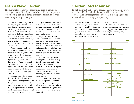## <span id="page-3-0"></span>Plan a New Garden

The symmetry of rows of colorful edibles is heaven to many gardeners. But if you find the traditional approach to be boring, consider other geometric possibilities such as an octagon or pie wedges.

Once you've conjured the possibilities for your space, consider that in most climates, vegetables, fruits, and herbs grow best in raised beds. Raised garden beds provide infinitely better drainage than do beds built flush with the soil. They also heat up faster in spring, adding days (or even weeks) to your growing season. And they allow for far easier soil amendment.

Prepare your new garden beds before you buy your plants. Loosen the soil with a shovel, garden fork, and/or tiller to a depth of at least 8" and add several inches of compost. If you're making raised beds, build them up 12 to 18" above path grade and fill them with the ideal mix of topsoil, compost, and other amendments. In either case, if the soil is sandy, mix in an extra helping of compost.

Many gardeners like to support their raised beds with wooden or plastic frames; others just mound up the soil. Do not frame your garden beds with creosote-laden railroad ties. New types of pressure-treated woods are safer than those produced in the past, but the best choices for

framing vegetable beds are natural materials. Naturally rot-resistant cedar makes an attractive raised-bed frame and also weathers nicely. Or consider stone or brick to enclose your planting areas.

Vegetable gardeners have learned that beds built no broader than  $4$  to  $5'$ , separated by paths, allow you to reach into the middle of each bed without stepping into it and compacting the soil. And when the soil is at shin level, weeding and harvesting are less of a strain on your back.

Flower garden experts offer these tips for an attractive display: Put tall plants in the back of the bed, short ones in front. Cluster plants in odd-numbered groups of three or five. Set the plants in a repeated pattern (but not a rigid structure) across the bed to create a visual rhythm.

See "Garden Bed Planner" on the opposite page for suggested vegetable garden arrangements. Then, once you've gathered all your ideas, use the grid on pages 12 and 13 to draw your own veggie or flower garden plan.

## Garden Bed Planner

To get the most out of your space, plan your garden before you plant. Decide which plants you'd like to grow. Then look at "Good Strategies for Interplanting" on page 10 for ideas on how to arrange your plantings.

Be sure to rotate your tomato and brassica (cabbage) family crops at least every 3 years. If you don't, the soil will become an ideal breeding ground for diseases that harm those plants. For the best soil management, keep your garden charts to

refer to year to year.

Here are some sample garden arrangements to help you get started in placing your own plants. Then plot out your plan using the grid on pages 12 and 13.

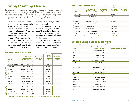## <span id="page-4-0"></span>Spring Planting Guide

Timing is everything. To start your seeds on time, you need to know the last spring frost (LSF) date for your area of the country. If you don't know this date, contact your regional cooperative extension office (*<csrees.usda.gov/Extension>*).

The chart "Starting Seeds Indoors," below, will help you determine when to sow seeds indoors so you can transplant to the garden at the proper time. Use column A to figure your outdoor planting date for transplants; write the date in column B. Then count back the number of weeks it takes each plant to reach transplant size (subtract weeks in column C from date in column B) to figure your indoor

planting date for seeds; write that date in column D.

Some plants can also be directseeded into your garden. Use the chart "Starting Seeds Outdoors in Spring" on the opposite page to determine your outdoor sowing date for these plants.

Spacing your seeds and transplants is also critical. See "Vegetable Planting and Spacing Guide" on page 11 for more information.

|                                  | <b>STARTING SEEDS INDOORS</b> |                                                               |                                                     | Last Spring Frost (LSF) Date:                            |                                           |
|----------------------------------|-------------------------------|---------------------------------------------------------------|-----------------------------------------------------|----------------------------------------------------------|-------------------------------------------|
|                                  | Plant                         | A. When to<br><b>Plant Outdoors</b><br><b>Relative to LSF</b> | <b>B.</b> Outdoor<br><b>Planting</b><br><b>Date</b> | C. Weeks<br>to Reach<br><b>Transplant</b><br><b>Size</b> | D. Indoor<br><b>Sowing</b><br><b>Date</b> |
|                                  | <b>Broccoli</b>               | 2 weeks before LSF                                            |                                                     | 4-6 weeks                                                |                                           |
|                                  | Brussels sprouts              | 2 weeks before LSF                                            |                                                     | 4-6 weeks                                                |                                           |
|                                  | Cabbage                       | 4 weeks before LSF                                            |                                                     | 4-6 weeks                                                |                                           |
| Frost                            | Chard. Swiss*                 | 2 weeks before LSF                                            |                                                     | 4-6 weeks                                                |                                           |
| Survive Heavy<br>(26-30°F)       | Collards                      | 4 weeks before LSF                                            |                                                     | 4-6 weeks                                                |                                           |
|                                  | Kale                          | 4 weeks before LSF                                            |                                                     | 4-6 weeks                                                |                                           |
|                                  | Kohlrabi*                     | 4 weeks before LSF                                            |                                                     | 4-6 weeks                                                |                                           |
|                                  | $Peas*$                       | 6-8 weeks before LSF                                          |                                                     | 3-4 weeks                                                |                                           |
|                                  | Spinach*                      | 3-6 weeks before I SF                                         |                                                     | 4-6 weeks                                                |                                           |
|                                  | Turnips                       | 4 weeks before LSF                                            |                                                     | 3-4 weeks                                                |                                           |
|                                  | Arugula*                      | 3-4 weeks before LSF                                          |                                                     | 4-5 weeks                                                |                                           |
|                                  | Beets*                        | 2 weeks before LSF                                            |                                                     | 4-6 weeks                                                |                                           |
| Survive Light<br>Frost (30-32°F) | Cauliflower                   | 2 weeks before LSF                                            |                                                     | 4-6 weeks                                                |                                           |
|                                  | Lettuce, head                 | 3-4 weeks before LSF                                          |                                                     | 4-5 weeks                                                |                                           |

\*Note: Can also be direct-seeded into the garden. See "Starting Seeds Outdoors in Spring" on the opposite page.

Starting Seeds Indoors (cont.)

Last Spring Frost (LSF) Date:

|              | <b>Plant</b>    | A. When to<br><b>Plant Outdoors</b><br><b>Relative to LSF</b> | <b>B.</b> Outdoor<br><b>Planting</b><br>Date | C. Weeks<br>to Reach<br><b>Transplant</b><br><b>Size</b> | D. Indoor<br><b>Sowing</b><br><b>Date</b> |
|--------------|-----------------|---------------------------------------------------------------|----------------------------------------------|----------------------------------------------------------|-------------------------------------------|
|              | Cucumbers*      | 1-2 weeks after LSF                                           |                                              | 3-4 weeks                                                |                                           |
|              | Eggplant        | 2-3 weeks after LSF                                           |                                              | 8-10 weeks                                               |                                           |
|              | Marigolds       | 1-2 weeks after LSF                                           |                                              | 6-8 weeks                                                |                                           |
|              | Melons*         | 2 weeks after LSF                                             |                                              | 3-4 weeks                                                |                                           |
| Frost-Tender | Okra*           | 2-4 weeks after LSF                                           |                                              | 4-6 weeks                                                |                                           |
|              | <b>Peppers</b>  | 2 weeks after LSF                                             |                                              | 6-14 weeks                                               |                                           |
|              | Squash*         | 2 weeks after LSF                                             |                                              | 3-4 weeks                                                |                                           |
|              | <b>Tomatoes</b> | 1-2 weeks after LSF                                           |                                              | 6-8 weeks                                                |                                           |
|              | Zinnia**        | 1-2 weeks after LSF                                           |                                              | 4-6 weeks                                                |                                           |

### Starting Seeds Outdoors in Spring

|              | Melons*                                                                                                 |                      | 2 weeks after LSF    |                                                                           | 3-4 weeks                                                                                        |  |
|--------------|---------------------------------------------------------------------------------------------------------|----------------------|----------------------|---------------------------------------------------------------------------|--------------------------------------------------------------------------------------------------|--|
|              | Okra*                                                                                                   | 2-4 weeks after LSF  |                      |                                                                           | 4-6 weeks                                                                                        |  |
| Frost-Tender | Peppers                                                                                                 | 2 weeks after LSF    |                      |                                                                           | 6-14 weeks                                                                                       |  |
|              | Squash*                                                                                                 |                      | 2 weeks after LSF    |                                                                           | 3-4 weeks                                                                                        |  |
|              | Tomatoes                                                                                                | 1-2 weeks after LSF  |                      |                                                                           | 6-8 weeks                                                                                        |  |
|              | Zinnia**                                                                                                |                      | 1-2 weeks after LSF  |                                                                           | 4-6 weeks                                                                                        |  |
|              | <b>STARTING SEEDS OUTDOORS IN SPRING</b><br>The following plants can be direct-seeded into your garden. |                      |                      | **Note: Do not transplant well; use peat pots, or direct-seed. See below. | *Note: Can also be direct-seeded into the garden. See "Starting Seeds Outdoors in Spring" below. |  |
|              | Plant                                                                                                   |                      |                      | <b>When to Plant Outdoors</b><br><b>Relative to LSF</b>                   | <b>Outdoor Sowing Date</b>                                                                       |  |
| Arugula      |                                                                                                         | 2 weeks before LSF   |                      |                                                                           |                                                                                                  |  |
| Beans        |                                                                                                         | 2 weeks after LSF    |                      |                                                                           |                                                                                                  |  |
| <b>Beets</b> |                                                                                                         | 0-2 weeks before LSF |                      |                                                                           |                                                                                                  |  |
| Carrots      |                                                                                                         | 2-3 weeks before LSF |                      |                                                                           |                                                                                                  |  |
| Chard, Swiss |                                                                                                         |                      | 0-2 weeks before LSF |                                                                           |                                                                                                  |  |
| Corn         |                                                                                                         | 2 weeks after LSF    |                      |                                                                           |                                                                                                  |  |
|              | Cucumbers                                                                                               |                      | 2 weeks after LSF    |                                                                           |                                                                                                  |  |
|              | Lettuce, leaf                                                                                           |                      | 2 weeks before LSF   |                                                                           |                                                                                                  |  |
|              | Melons                                                                                                  |                      | 2 weeks after LSF    |                                                                           |                                                                                                  |  |
|              | Nasturtium                                                                                              |                      | 1-2 weeks before LSF |                                                                           |                                                                                                  |  |
| Okra         |                                                                                                         |                      | 2 weeks after LSF    |                                                                           |                                                                                                  |  |
| Peas         |                                                                                                         |                      | 4-6 weeks before LSF |                                                                           |                                                                                                  |  |
|              | Pumpkins                                                                                                |                      |                      | 1 week after LSF                                                          |                                                                                                  |  |
|              | Spinach                                                                                                 |                      |                      | 4-6 weeks before LSF                                                      |                                                                                                  |  |
|              | Sauash                                                                                                  |                      |                      | 1 week after LSF                                                          |                                                                                                  |  |
|              | <b>Sunflowers</b>                                                                                       |                      |                      | 2-3 weeks after LSF                                                       |                                                                                                  |  |
|              | Zinnia                                                                                                  |                      |                      | 2-3 weeks after LSF                                                       |                                                                                                  |  |
|              |                                                                                                         |                      |                      |                                                                           |                                                                                                  |  |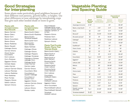## <span id="page-5-0"></span>Good Strategies for Interplanting

Some plants make particularly good neighbors because of their different root patterns, growth habits, or heights. Use plant differences to your advantage by interplanting crops that give each other needed shade or room to grow.

| <b>Plants with</b><br>Complementary<br><b>Root Growth</b> | Plants with<br><b>Complementary</b><br><b>Top Growth</b> |
|-----------------------------------------------------------|----------------------------------------------------------|
| Beans-Carrots                                             | Beans (bush)-Celery                                      |
| Beans-Celery                                              | Beans (bush)-Radishes                                    |
| Beans-Corn                                                | Beans (bush)-<br>Tomatoes (staked)                       |
| Beans-Cucumbers                                           |                                                          |
| Beans–Onions                                              | Beans (pole)-Corn                                        |
| Beans–Radishes                                            | Beans (pole)-<br>Corn-Squash                             |
| Beans–Squash                                              | Beets-Kohlrabi                                           |
| Cabbage–Onions                                            | Cabbage-Chives                                           |
| Carrots–Onions                                            | Cabbage-Onions                                           |
| Chard. Swiss–<br>Cucumbers                                | Cabbage-Peppers                                          |
| Corn–Lettuce                                              | Cabbage-Tomatoes                                         |
| Corn–Potatoes                                             | Cabbage or Chinese<br>cabbage-Corn                       |
| Eggplant-Onions                                           | Cabbage-family                                           |
| Kohlrabi–Beets                                            | crops-Carrots                                            |
| Leeks-Carrots                                             | Carrots-Leeks                                            |
| Lettuce-Carrots-Onions                                    | Carrots-Onions                                           |
| Lettuce–Parsnips                                          | Cucumbers-Okra                                           |
| Lettuce–Radishes                                          | Cucumbers or                                             |
| Peas-Radishes                                             | squash-Cabbage                                           |
| Peas-Turnips                                              | Cucumbers or<br>squash-Corn                              |
| Peppers-Onions                                            | Eggplant-Onions                                          |
| Salsify–Lettuce                                           | Lettuce-Carrots-Onions                                   |
| Spinach–Onions                                            | Lettuce-Corn                                             |
|                                                           | Lettuce-Onions                                           |
|                                                           |                                                          |

Parsley—Leeks

#### Peas (trellised)— Cabbage-family crops, carrots, kohlrabi, lettuce, radishes, spinach, or turnips

Peppers—Onions Potatoes—Corn Radishes—Lettuce Spinach—Onions

#### Plants That Provide Shade—Plants That Tolerate Shade

Beans (bush)—Celery Beans (bush or pole)—Lettuce Beans (bush or pole)—Spinach Brassica-family crops—Celery Brassica-family crops—Lettuce Brassica-family crops—Spinach Corn—Lettuce **Cucumbers** (trellised)—Celery **Cucumbers** (trellised)—Lettuce Eggplant—Celery Okra—Cucumbers Peas (trellised)—Lettuce Peas (trellised)—Spinach **Tomatoes** (staked)—Lettuce

## Vegetable Planting and Spacing Guide

|                              |                                         | Intensive<br><b>Spacing</b>                       |                                        | <b>Conventional</b><br><b>Spacing</b> |
|------------------------------|-----------------------------------------|---------------------------------------------------|----------------------------------------|---------------------------------------|
| <b>Plant</b>                 | <b>Seed</b><br><b>Planting</b><br>Depth | (distance<br>between plants<br>in all directions) | (distance<br>between<br>plants in row) | (distance<br>between<br>rows)         |
| Asparagus (crowns)           | $6 - 10"$                               |                                                   | 24"                                    | 36-48"                                |
| Beans, snap (bush)           | 1"                                      | $4 - 6"$                                          | $2 - 4"$                               | 18-36"                                |
| <b>Beets</b>                 | $\frac{1}{2}$ "                         | $2 - 6"$                                          | $2 - 4"$                               | 12-30"                                |
| Broccoli*                    | $\frac{1}{4}$ "                         | $15 - 18"$                                        | $12 - 24"$                             | 18-36"                                |
| Brussels sprouts*            | $\frac{1}{2}$ "                         | 18"                                               | $18 - 24"$                             | 30-36"                                |
| Cabbage*                     | $\frac{1}{4}$ "                         | 15-18"                                            | 12-24"                                 | 24-36"                                |
| Carrots                      | $\frac{1}{4}$ "                         | $2 - 3"$                                          | $1 - 3"$                               | 16-30"                                |
| Cauliflower*                 | $\frac{1}{2}$ "                         | 18"                                               | 24"                                    | 36"                                   |
| Chard, Swiss                 | $\frac{1}{2}$ "                         | 9"                                                | 9"                                     | 18"                                   |
| Collards                     | $\frac{1}{2}$ "                         | 15"                                               | 15"                                    | 36"                                   |
| Corn                         | 1 <sup>0</sup>                          | 18"                                               | $8 - 12"$                              | 30-42"                                |
| Cucumbers                    | $\frac{1}{2}$ -1"                       | $12 - 18"$                                        | $3 - 6"$                               | $14 - 42"$                            |
| Eggplant*                    | $\frac{1}{4}$ "                         | 24"                                               | 24"                                    | 24-36"                                |
| Lettuce, leaf                | $\frac{1}{4}$ "                         | $6 - 9"$                                          | $8 - 12"$                              | $12 - 24"$                            |
| Melons                       | $\frac{1}{2}$ "                         | 36"                                               | 36-96"                                 | 72-96"                                |
| Okra                         | $\frac{1}{2}$ "                         | 18"                                               | $10 - 14"$                             | 24-48"                                |
| Onions (sets)                | 1"                                      | $4 - 6"$                                          | $1 - 4"$                               | 16-24"                                |
| Peas                         | 1"                                      | $2 - 6"$                                          | $1 - 3"$                               | 24-48"                                |
| Peppers*                     | $\frac{1}{2}$ "                         | $12 - 15"$                                        | 12-24"                                 | 18-36"                                |
| Potatoes                     | 4"                                      | $10 - 12"$                                        | $6 - 12"$                              | 30-42"                                |
| Radishes                     | $\frac{1}{4}$ "                         | $2 - 3"$                                          | $\frac{7}{2}-1$ "                      | $8 - 18"$                             |
| Spinach                      | $\frac{1}{4}$ "                         | 4-6"                                              | $2 - 6"$                               | 12-36"                                |
| Squash, summer<br>and winter | $\frac{1}{2}$ -1"                       | 24-36"                                            | 39-96"                                 | 72-96"                                |
| Tomatoes (staked)*           | $\frac{1}{4} - \frac{1}{2}$             | 18-24"                                            | $12 - 24"$                             | 36-48"                                |

\*Note: Rarely direct-seeded into the garden.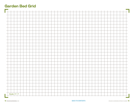## <span id="page-6-0"></span>Garden Bed Grid

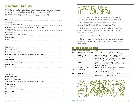## <span id="page-7-0"></span>Garden Record

Keep track of the plants in your garden so you can repeat your successes and troubleshoot when a plant hasn't performed as expected. (Copy this page, as needed.)

| Where purchased: www.communication.com/www.communication.com/www.com/www.com/www. |
|-----------------------------------------------------------------------------------|
|                                                                                   |
|                                                                                   |
| Feeding notes: www.communications.communications.com                              |
|                                                                                   |
|                                                                                   |
|                                                                                   |
|                                                                                   |
|                                                                                   |

| Feeding notes: www.communication.com/www.communication.com/www.com/www.com/www.com/www.com/www.com/ |
|-----------------------------------------------------------------------------------------------------|
|                                                                                                     |
|                                                                                                     |
|                                                                                                     |
|                                                                                                     |
|                                                                                                     |

## $\blacksquare$  $HS$  JOLIF

This section of the Organic Gardening Spring Planner is designed for you to make notes about what's going on in your garden in spring.

You'll find a to-do list for the growing region where you live. Journal pages for the 3 months of March, April, and May follow.

Following all the tips and journal pages, you'll find several "Garden Record" pages where you can record information about particular plants that you have tried.

We hope you find this journal to be a handy tool and reference.

For the purposes of this journal, we've designated six gardening regions according to typical growing conditions rather than by USDA zones.

### Starting Seeds Indoors

| Page | <b>Gardening Region</b>         | <b>States</b>                                                                                                                                                                                      |
|------|---------------------------------|----------------------------------------------------------------------------------------------------------------------------------------------------------------------------------------------------|
| 16   | GULF COAST AND HAWAII           | Alabama, Florida, Hawaii, Louisiana, Mississippi                                                                                                                                                   |
| 17   | NORTHEAST AND<br><b>MIDWEST</b> | Connecticut, Delaware, Illinois, Indiana, Iowa,<br>Kansas, Maryland, Massachusetts, Missouri, Nebraska,<br>New Jersey, New York, Ohio, Pennsylvania, Rhode<br>Island, Washington DC, West Virginia |
| 18   | NORTHERN TIER                   | Alaska, Maine, Michigan, Montana, New Hampshire,<br>North Dakota, South Dakota, Vermont, Wisconsin,<br>Wyoming, Canada                                                                             |
| 19   | PACIFIC NORTHWEST               | California (northern), Idaho, Oregon, Washington                                                                                                                                                   |
| 20   | <b>SOUTHEAST</b>                | Arkansas, Georgia, Kentucky, North Carolina,<br>South Carolina, Tennessee, Virginia                                                                                                                |
| 21   | <b>SOUTHWEST</b>                | Arizona, California (southern), Colorado, Nevada,<br>New Mexico, Oklahoma, Texas, Utah                                                                                                             |



©2009 by Rodale Inc.

<sup>o</sup>2009 by Rodale Inc.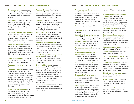## <span id="page-8-0"></span>To-Do List: Gulf Coast and Hawaii

Grow cover crops, such as sun hemp and crowder peas, to build soil health. Once they mature, cut them down and till them under before planting.

Sow seeds for arugula, basil, beets, broccoli, green beans, collards, cucumbers, eggplant, Chinese greens, lettuce, hot peppers, okra, radishes, and cherry tomatoes in tilled soil.

Try some quick-maturing varieties of cucumbers, squash, and zucchini. You may luck out and get a good harvest before the insect and disease explosion of the hot season makes them hard to keep alive.

Water new plantings thoroughly. Soil dries out quickly in wind and midday heat, and even frequent rain showers may not fully soak the soil. A thick layer of mulch or compost and a drip irrigation system can conserve water.

Cover your compost to keep the sun and wind from drying it out. Bury it in soil or cover it with straw.

Remove weeds now, before they flower and seed.

Monitor for insects and take steps to control them. A good shot of insecticidal soap will usually take care of aphids, mealybugs, scale, and spider mites if you catch them early. Use the two-block method for adultstage grasshoppers: Get two blocks of wood and bring them together quickly with the grasshopper in between!

Scout for snails and slugs that gravitate toward seedlings and brassica crops. Control them by putting copper tape or diatomaceous earth around the borders of beds.

Feed gardenias in March to have flowers for May Day. Use bat and seabird guano applied lightly around flowering shrubs or mixed with water to create a tea for a foliar feed.

Start seeds for warm season annuals, such as marigolds, cosmos, salvia, vinca, and morning glories, in flats in shade to part-shade in April and May. Adjust them slowly to full sun when you transplant them.

Apply compost to ginger and other tropical flowers. Keep their fallen leaves around their roots, without touching the stems. Do the same with bananas.

Feed fruit and flower trees in May. Spread finished compost or composted chicken manure thinly and evenly over an 18-inch circle around the tree, leaving a 2-inch buffer right around the trunk.

Build fruiting and flowering plants' resistance to insects, fungal diseases, and sooty mold by giving frequent foliar feedings of liquid kelp or seaweed.

Enjoy the blossoms of tropical trees, especially the Golden Trumpet (Tabebuia argentea, aka Silver Trumpet), with its masses of yellow flowers. Even when not in flower, its corky bark and unusual, almost "bonsai" shape make it an interesting attraction. Its light olive leaves harmonize well with most landscapes.

Harvest bananas immediately when the fruit turns yellow, or when the ridges have nearly disappeared from the green fruit.

## To-Do List: Northeast and midwest

Prepare your garden soil once it

has dried out and crumbles easily in your hand. Turn under winter-killed cover crops in early spring. Incorporate green cover crops such as winter rye into the soil at least 2 weeks before your transplant date. Add compost.

Top-dress garden beds with compost.

Use mulch to deter weeds; reapply as needed.

Keep all newly planted crops well watered if Mother Nature doesn't cooperate by providing sufficient rain.

Presprout peas and potatoes in advance of setting them out in the garden to give them a head start.

Plant peas and spinach as soon as the ground can be worked.

Start seeds of cool-season vegetables such as broccoli, cabbage, cauliflower, and kale indoors under grow lights in March if you didn't start them in February.

Plant cool-season vegetables such as mustard greens, lettuce, peas, radishes, and spinach in cold- or warmframes (coldframes with heat cables or another heat source) in late March or early April.

Start seeds of warm-season vegetables such as eggplant, peppers, and tomatoes indoors the first week in April to transplant into the garden in late May.

Direct-seed beets, carrots, Swiss chard, collards, lettuce, parsnips, peas, and spinach and place onion sets into the garden in April. Set out hardy seedlings such as cabbage, leafy greens, onions, pansies, and snapdragons, allowing them to

harden-off for a day or two in a protected area.

Plant warm-season vegetable

plants—cucumbers, eggplant, melons, peppers, squash, and tomatoes—around the safe plantingout date. Check with your cooperative extension office to find the last spring frost date for your locality.

Go ahead and pick those longawaited first asparagus spears in April and May.

Start seeds of cool-season

flowers such as coleus, larkspur, marigolds, snapdragons, statice, verbenas, and zinnias indoors under grow lights in March. Put them in the garden in late May.

Start seeds of herbs, such as basil. dill, and parsley, in April.

Direct-seed foxgloves and hollyhocks in the garden in April.

Set out warm-season bulbs, such as dahlias, cannas, and gladiolus, in May.

Plant bareroot roses in April. Place a handful of bone meal in the hole. Mound the soil up around the plant to within 1 inch of the top. Remove the soil as new growth appears.

Dig, divide, and transplant perennials, such as asters, that bloom in summer or fall.

Place supports near top-heavy plants such as delphiniums and peonies—in anticipation of many blooms.

Remove faded lilac blossoms. To ensure a healthy, vigorous plant, prune up to one-third of the branches if needed.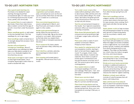#### Use a good seed-starting mix.

Purchase a mix labeled for seed starting; the bag should feel comparatively light. Or make your own by combining equal amounts of peat moss, perlite, and vermiculite.

Put seeded flats in a warm place to germinate. Check them daily (twice daily is better), and at the first sign of growth, move them under fluorescent lights.

Water seedlings gently or add water to the tray beneath them. Don't let seedlings dry out or get soggy.

Feed seedlings weak compost tea or ¼-strength diluted fish emulsion. Don't overfertilize.

#### Harden-off purchased or homegrown seedlings. About 2 weeks before your planting-out date, take your little plants outside for an hour or so. Gradually lengthen the time that they are out.

Soak peas overnight in warm water so they'll germinate faster. Use a container big enough to allow them to swell to double their size.

#### Direct-seed cool-season

vegetables such as beets, lettuce, peas, and spinach as soon as the soil can be worked. Plant them at intervals of 1 or 2 weeks for a continuous harvest.

Give overwintering geraniums a severe cutting-back in March, and they'll be bushy and ready to bloom again in a few weeks.

Divide most perennial flowers in spring. When the new growth is a couple of inches high, dig up the clump and pull or cut it apart. Add compost to the hole when you replant them. (Do not divide or transplant peonies at this time.)

Put in supports for heavy plants such as peonies in May while they are still small.

Start dianthus, pansies, petunias, and snapdragons indoors late in March.

Sow poppies and sweet peas in the garden. (Shovel snow first if you must!)



## <span id="page-9-0"></span>To-Do List: Northern tier To-Do List: pacific northwest

Turn under cover crops a few weeks before planting to allow them to decompose. Wait until the soil is dry and crumbly before tilling it. For small areas, slice below the green growth with a shovel and turn the crop over so that only dirt shows.

Test the soil and amend it based on the results. Your regional cooperative extension office can recommend tests or testing companies.

Side-dress fall-planted garlic with compost and soil amendments high in nitrogen. Larger bulbs will be the result.

Plant peas when a week of warm weather is forecast in March. Presprout them indoors.

Sow seeds for salad greens or set out transplants monthly, starting in April, to harvest these veggies yearround. Try arugula, chard, cress, endive, kale, lettuce, mustard, and radicchio. Grow them a couple of inches apart in all directions and harvest the leaves once they are 2" tall. Thin some to grow tall to use as cooking greens.

Sow seeds indoors or plant purchased seedlings of broccoli and cabbage. Plant early-, mid-, and late-season varieties for staggered harvests.

Direct-sow carrots in April.

Plant potatoes from March through May for summer and fall harvests.

Plant heat-loving plants such as peppers, squash, and tomatoes after the last spring frost. Grow your own transplants by sowing in February or March.

Direct-sow beans every few weeks from after the last spring frost until mid-July.

Plant herb seedlings such as oregano, parsley, and rosemary in a sunny spot close to the back door for easy access when cooking. Don't plant basil until after the last spring frost.

Apply plastic mulch to help increase the soil temperature faster for strong, early growth of heat-loving plants such as cucumbers, melons, and peppers.

Protect seedlings and transplants

from frost with permeable row covers. When the edges are buried completely to form a tight barrier, row covers also protect carrots, mustard, and radishes from the fly that gives birth to root maggots. They keep out flea beetles, too, which chew tiny holes in arugula, bok choy, and mizuna leaves.

Harvest twice weekly, cutting everything that is ripe, to encourage plants to continue producing.

Divide and move hardy perennials

to better or additional locations in April. Plant them even though some may not yet be blooming. They get established better because spring rain reduces the need for vigilant watering.

Brighten a shady spot with low mounds of colorful pansies that will bloom until midsummer.

Wait until the last frost date (in May) to plant frost-sensitive flowers such as impatiens. Hold back hanging fuchsia baskets until then also.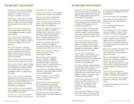Prepare your garden beds deeply and well. Do not work the soil—with spade, fork, or tiller—until it is dry enough to crumble in your hand.

Rotate your crops, even on a small scale. Planting tomatoes in the same place year after year invites diseasecausing organisms to build up in the soil.

Start warm-season vegetables indoors beginning in March. These include eggplant, peppers, squash, and tomatoes.

Direct-seed beets, carrots (don't delay), Swiss chard, lettuce, mâche, mesclun, mustard, radishes, spinach, and turnips in March. Put in onion sets, too.

Plant cool-weather vegetable seedlings in March, too-including broccoli, cabbage, Swiss chard, greens, lettuce, spinach, and root crops. It's not too late to also plant peas and potatoes.

Mulch potatoes with straw as soon as the sprouts emerge from the soil.

Start warm-season veggies—directseeding beans, corn, and cucumbers and transplanting tomatoes (melons and squash can go in as seed or transplants)—after your last spring frost date.

Rotate your tomatoes rather than planting them in the same spot year after year. Tomato diseases can easily build up in the soil and decrease or destroy your chances of harvesting the golden and red globes.

Wait until the soil is warm (May) to set out eggplant and peppers and sow okra and black-eyed peas.

Spread row covers over plants in case the cold returns. Just be sure to remove them on hot days.

Harvest cool-season crops regularly and keep them watered and weeded.

Plant annual vines to shade heatsensitive plants from summer sun.

Crush the eggs and larvae of insect pests, such as cabbage moths and bean beetles, if you find them.

Search for slugs and snails. Go out at night with a light, a container, a strong stomach, and an iron will, and handpick and destroy these pests. Or try beer traps, diatomaceous earth, or ashes—especially around strawberries and leafy greens.

Deadhead daffodils when blooms droop, but leave the foliage to recharge the bulbs for next year. Cut the leaves back after they turn brown.

Direct-seed calendulas, cosmos, lavatera, nasturtiums, and snapdragons in March.

Plant annuals such as asters, cleome, coreopsis, marigolds, nicotiana, petunias, sunflowers, and zinnias in May. Or start them indoors in March or April and set the transplants in the garden in May.

Sow sunflowers and tithonia ("Mexican sunflower") where their height will mesh with your garden design.

Set out caladium corms in shady spots, or mix them with coleus in containers in March.

Support tall or heavy perennials such as hollyhocks and peonies before they are unwieldy. Small or cut-down tomato cages work well for peonies and are hidden by the leaves.

Side-dress roses with an organic fertilizer in May, and keep topdressing with compost.

## <span id="page-10-0"></span>To-Do List: SOUTHEAST To-Do List: SOUTHWEST

Pull back mulch from the garden to allow the soil to heat up quickly and to eliminate that habitat for pill bugs and other seedling eaters. Warm soil will let you plant in early March.

Replace mulch around shrubs, trees, and anything else that will benefit from a cooler soil. First apply a layer of compost to feed the soil.

Go to town direct-sowing Chinese and Napa cabbages, kale, lettuce, mustard, spinach, and short-season root crops in March for a late spring harvest. Harvest leafy greens often or they will bolt.

Sow black-eyed peas, crowder peas, and purple hull peas into the garden. Consider growing a black bean such as 'Black Coco', which can be eaten as a snap bean or shelled bean and thrives in dry years.

Set out early transplants of cukes, squash, and tomatoes. Plant tomatoes that will set fruit in the heat—these include many small-fruited varieties and 'Hawaiian Tropic' and 'Heartland' slicing tomatoes.

Sow okra, peanuts, sweet potatoes, and climbing malabar spinach indoors 8 weeks before transplanting or direct-seed them outdoors when night temperatures are above 50°F. Set out eggplant, melons, and peppers also once the soil has warmed.

Direct-seed vegetables from mid-April to early May to allow for a July harvest. Put in amaranth, beans, pumpkins, winter squash, and watermelon. Plant sweet potato slips, too.

Plant potatoes in March and mulch them with 6 inches of straw as soon as the sprouts emerge from the soil.

**Start seeds of peppers and tomatoes** in containers to transplant in July for the fall garden.

Harvest and enjoy your asparagus!

Stop watering onions, garlic, and shallots when the foliage begins to turn yellow.

Set out sweet potato slips on a cloudy day in May.

Keep floating row covers handy in case cold weather or even a freeze threatens your late-spring garden.

Feed perennial herbs such as salad burnet, marjoram, mint, rosemary, sage, and thyme. It's wise to grow mint in a pot or enclosed area since it can spread quickly and overtake the herb garden.

**Plant roses in March. Prune growing** roses very early in March if you have missed the recommended mid-February pruning.

Plant a cutting garden. In March, direct-seed coneflowers, gayfeather, salvias, and yarrow (in several colors). Add annuals such as crested cockscombs, purple fountain grass, several varieties of sunflowers, and zinnias.

Plant summer bulbs such as tuberous begonias, dahlias, gladiolus, and lilies in late March through April.

Direct-seed annuals such as globe amaranth, sunflowers, and zinnias in May.

Propagate groundcovers and hostas in shady areas.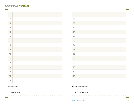## <span id="page-11-0"></span>Journal: MARCH

**T** 

| $\mathbf{1}$             |  |
|--------------------------|--|
| $\overline{\mathbf{2}}$  |  |
| 3                        |  |
| $\overline{\mathbf{4}}$  |  |
| 5                        |  |
| 6                        |  |
| $\overline{\mathcal{I}}$ |  |
| 8                        |  |
| $\overline{9}$           |  |
| 10                       |  |
| $11\,$                   |  |
| 12                       |  |
| $13$                     |  |
| 14                       |  |
| 15                       |  |
| 16                       |  |

| 17 |  |
|----|--|
| 18 |  |
| 19 |  |
| 20 |  |
| 21 |  |
| 22 |  |
| 23 |  |
| 24 |  |
| 25 |  |
| 26 |  |
| 27 |  |
| 28 |  |
| 29 |  |
| 30 |  |
| 31 |  |

| Weather notes:     | Harvest or bloom notes: |
|--------------------|-------------------------|
|                    |                         |
|                    |                         |
| Soil observations: | Problems and solutions: |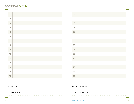## <span id="page-12-0"></span>Journal: APRIL

 $\overline{\phantom{a}}$ 

| $\mathbf{1}$            |  |
|-------------------------|--|
| $\overline{\mathbf{2}}$ |  |
| 3                       |  |
| 4                       |  |
| 5                       |  |
| 6                       |  |
| $\overline{7}$          |  |
| 8                       |  |
| 9                       |  |
| 10                      |  |
| 11                      |  |
| 12                      |  |
| 13                      |  |
| 14                      |  |
| 15                      |  |

| 16   |  |
|------|--|
| 17   |  |
| $18$ |  |
| 19   |  |
| 20   |  |
| 21   |  |
| 22   |  |
| 23   |  |
| 24   |  |
| 25   |  |
| 26   |  |
| 27   |  |
| 28   |  |
| 29   |  |
| 30   |  |

| Weather notes:     | Harvest or bloom notes: |
|--------------------|-------------------------|
|                    |                         |
|                    |                         |
| Soil observations: | Problems and solutions: |
|                    |                         |
|                    |                         |